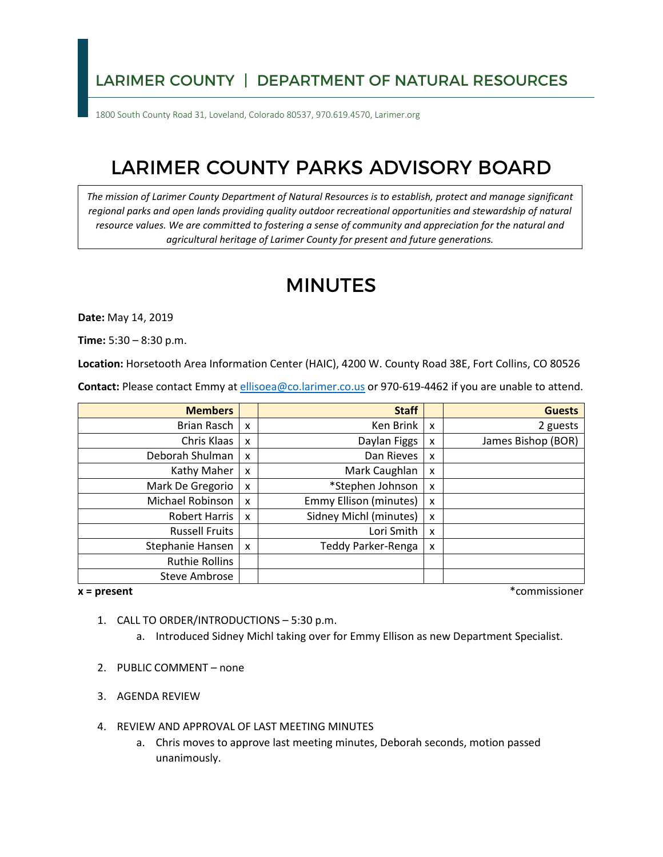## LARIMER COUNTY | DEPARTMENT OF NATURAL RESOURCES

1800 South County Road 31, Loveland, Colorado 80537, 970.619.4570, Larimer.org

## LARIMER COUNTY PARKS ADVISORY BOARD

*The mission of Larimer County Department of Natural Resources is to establish, protect and manage significant regional parks and open lands providing quality outdoor recreational opportunities and stewardship of natural resource values. We are committed to fostering a sense of community and appreciation for the natural and agricultural heritage of Larimer County for present and future generations.* 

## MINUTES

**Date:** May 14, 2019

**Time:** 5:30 – 8:30 p.m.

**Location:** Horsetooth Area Information Center (HAIC), 4200 W. County Road 38E, Fort Collins, CO 80526

**Contact:** Please contact Emmy at [ellisoea@co.larimer.co.us](mailto:ellisoea@co.larimer.co.us) or 970-619-4462 if you are unable to attend.

| <b>Members</b>        |                           | <b>Staff</b>                  |   | <b>Guests</b>      |
|-----------------------|---------------------------|-------------------------------|---|--------------------|
| Brian Rasch           | $\boldsymbol{\mathsf{x}}$ | Ken Brink                     | x | 2 guests           |
| Chris Klaas           | X                         | Daylan Figgs                  | x | James Bishop (BOR) |
| Deborah Shulman       | X                         | Dan Rieves                    | x |                    |
| Kathy Maher           | X                         | Mark Caughlan                 | x |                    |
| Mark De Gregorio      | X                         | *Stephen Johnson              | x |                    |
| Michael Robinson      | X                         | <b>Emmy Ellison (minutes)</b> | x |                    |
| <b>Robert Harris</b>  | X                         | Sidney Michl (minutes)        | x |                    |
| <b>Russell Fruits</b> |                           | Lori Smith                    | x |                    |
| Stephanie Hansen      | X                         | Teddy Parker-Renga            | x |                    |
| <b>Ruthie Rollins</b> |                           |                               |   |                    |
| <b>Steve Ambrose</b>  |                           |                               |   |                    |

 $x = present$ 

**x = present** \*commissioner

- 1. CALL TO ORDER/INTRODUCTIONS 5:30 p.m.
	- a. Introduced Sidney Michl taking over for Emmy Ellison as new Department Specialist.
- 2. PUBLIC COMMENT none
- 3. AGENDA REVIEW
- 4. REVIEW AND APPROVAL OF LAST MEETING MINUTES
	- a. Chris moves to approve last meeting minutes, Deborah seconds, motion passed unanimously.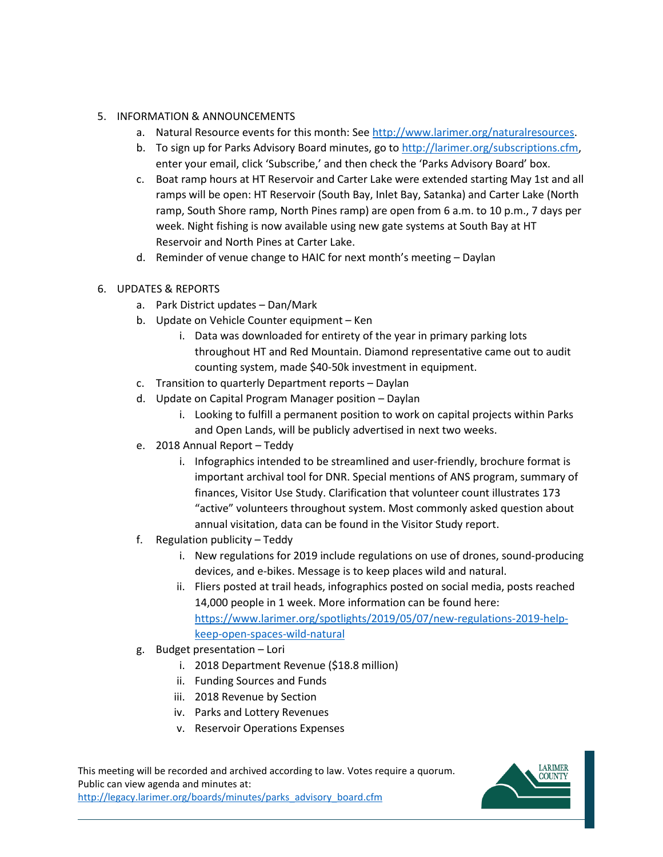## 5. INFORMATION & ANNOUNCEMENTS

- a. Natural Resource events for this month: See [http://www.larimer.org/naturalresources.](http://www.larimer.org/naturalresources)
- b. To sign up for Parks Advisory Board minutes, go to [http://larimer.org/subscriptions.cfm,](http://larimer.org/subscriptions.cfm) enter your email, click 'Subscribe,' and then check the 'Parks Advisory Board' box.
- c. Boat ramp hours at HT Reservoir and Carter Lake were extended starting May 1st and all ramps will be open: HT Reservoir (South Bay, Inlet Bay, Satanka) and Carter Lake (North ramp, South Shore ramp, North Pines ramp) are open from 6 a.m. to 10 p.m., 7 days per week. Night fishing is now available using new gate systems at South Bay at HT Reservoir and North Pines at Carter Lake.
- d. Reminder of venue change to HAIC for next month's meeting Daylan
- 6. UPDATES & REPORTS
	- a. Park District updates Dan/Mark
	- b. Update on Vehicle Counter equipment Ken
		- throughout HT and Red Mountain. Diamond representative came out to audit i. Data was downloaded for entirety of the year in primary parking lots counting system, made \$40-50k investment in equipment.
	- c. Transition to quarterly Department reports Daylan
	- d. Update on Capital Program Manager position Daylan
		- i. Looking to fulfill a permanent position to work on capital projects within Parks and Open Lands, will be publicly advertised in next two weeks.
	- e. 2018 Annual Report Teddy
		- i. Infographics intended to be streamlined and user-friendly, brochure format is important archival tool for DNR. Special mentions of ANS program, summary of finances, Visitor Use Study. Clarification that volunteer count illustrates 173 "active" volunteers throughout system. Most commonly asked question about annual visitation, data can be found in the Visitor Study report.
	- f. Regulation publicity Teddy
		- devices, and e-bikes. Message is to keep places wild and natural. i. New regulations for 2019 include regulations on use of drones, sound-producing
		- ii. Fliers posted at trail heads, infographics posted on social media, posts reached 14,000 people in 1 week. More information can be found here: [https://www.larimer.org/spotlights/2019/05/07/new-regulations-2019-help](https://www.larimer.org/spotlights/2019/05/07/new-regulations-2019-help-keep-open-spaces-wild-natural)[keep-open-spaces-wild-natural](https://www.larimer.org/spotlights/2019/05/07/new-regulations-2019-help-keep-open-spaces-wild-natural)
	- g. Budget presentation Lori
		- i. 2018 Department Revenue (\$18.8 million)
		- ii. Funding Sources and Funds
		- iii. 2018 Revenue by Section
		- iv. Parks and Lottery Revenues
		- v. Reservoir Operations Expenses

This meeting will be recorded and archived according to law. Votes require a quorum. Public can view agenda and minutes at: [http://legacy.larimer.org/boards/minutes/parks\\_advisory\\_board.cfm](http://legacy.larimer.org/boards/minutes/parks_advisory_board.cfm) 

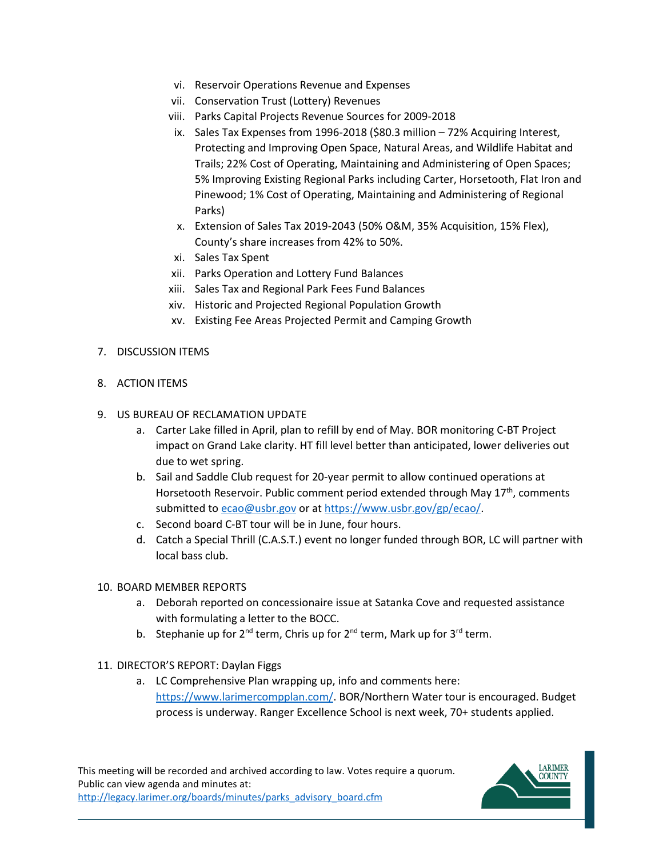- vi. Reservoir Operations Revenue and Expenses
- vii. Conservation Trust (Lottery) Revenues
- viii. Parks Capital Projects Revenue Sources for 2009-2018
- Pinewood; 1% Cost of Operating, Maintaining and Administering of Regional ix. Sales Tax Expenses from 1996-2018 (\$80.3 million – 72% Acquiring Interest, Protecting and Improving Open Space, Natural Areas, and Wildlife Habitat and Trails; 22% Cost of Operating, Maintaining and Administering of Open Spaces; 5% Improving Existing Regional Parks including Carter, Horsetooth, Flat Iron and Parks)
- x. Extension of Sales Tax 2019-2043 (50% O&M, 35% Acquisition, 15% Flex), County's share increases from 42% to 50%.
- xi. Sales Tax Spent
- xii. Parks Operation and Lottery Fund Balances
- xiii. Sales Tax and Regional Park Fees Fund Balances
- xiv. Historic and Projected Regional Population Growth
- xv. Existing Fee Areas Projected Permit and Camping Growth
- 7. DISCUSSION ITEMS
- 8. ACTION ITEMS
- 9. US BUREAU OF RECLAMATION UPDATE
	- a. Carter Lake filled in April, plan to refill by end of May. BOR monitoring C-BT Project impact on Grand Lake clarity. HT fill level better than anticipated, lower deliveries out due to wet spring.
	- b. Sail and Saddle Club request for 20-year permit to allow continued operations at Horsetooth Reservoir. Public comment period extended through May 17<sup>th</sup>, comments submitted to [ecao@usbr.gov](mailto:ecao@usbr.gov) or at [https://www.usbr.gov/gp/ecao/.](https://www.usbr.gov/gp/ecao/)
	- c. Second board C-BT tour will be in June, four hours.
	- d. Catch a Special Thrill (C.A.S.T.) event no longer funded through BOR, LC will partner with local bass club.
- 10. BOARD MEMBER REPORTS
	- a. Deborah reported on concessionaire issue at Satanka Cove and requested assistance with formulating a letter to the BOCC.
	- b. Stephanie up for 2<sup>nd</sup> term, Chris up for 2<sup>nd</sup> term, Mark up for 3<sup>rd</sup> term.
- 11. DIRECTOR'S REPORT: Daylan Figgs
	- a. LC Comprehensive Plan wrapping up, info and comments here: [https://www.larimercompplan.com/.](https://www.larimercompplan.com/) BOR/Northern Water tour is encouraged. Budget process is underway. Ranger Excellence School is next week, 70+ students applied.